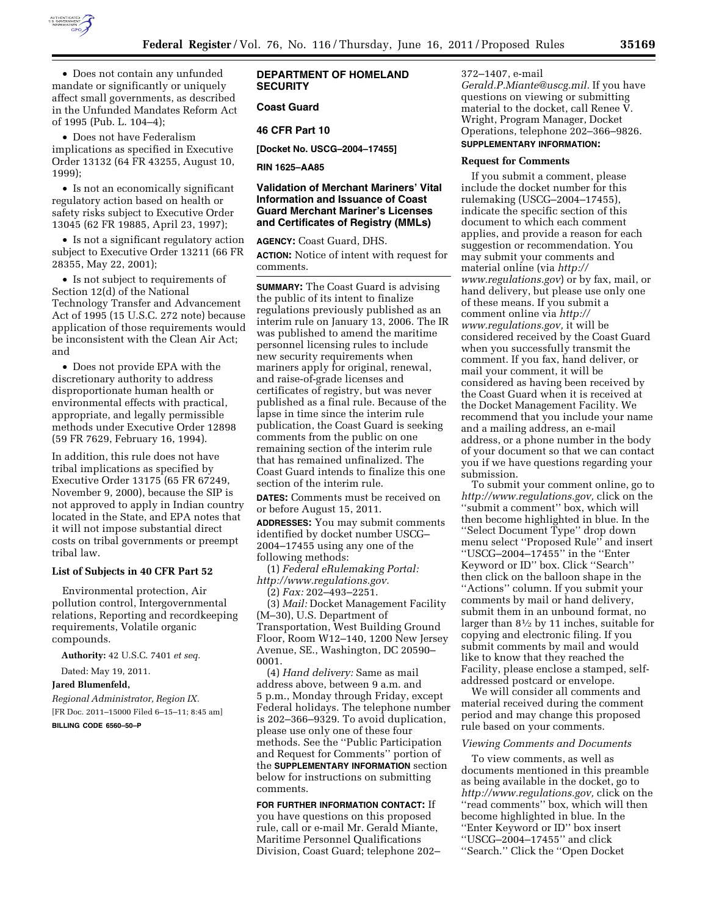

• Does not contain any unfunded mandate or significantly or uniquely affect small governments, as described in the Unfunded Mandates Reform Act of 1995 (Pub. L. 104–4);

• Does not have Federalism implications as specified in Executive Order 13132 (64 FR 43255, August 10, 1999);

• Is not an economically significant regulatory action based on health or safety risks subject to Executive Order 13045 (62 FR 19885, April 23, 1997);

• Is not a significant regulatory action subject to Executive Order 13211 (66 FR 28355, May 22, 2001);

• Is not subject to requirements of Section 12(d) of the National Technology Transfer and Advancement Act of 1995 (15 U.S.C. 272 note) because application of those requirements would be inconsistent with the Clean Air Act; and

• Does not provide EPA with the discretionary authority to address disproportionate human health or environmental effects with practical, appropriate, and legally permissible methods under Executive Order 12898 (59 FR 7629, February 16, 1994).

In addition, this rule does not have tribal implications as specified by Executive Order 13175 (65 FR 67249, November 9, 2000), because the SIP is not approved to apply in Indian country located in the State, and EPA notes that it will not impose substantial direct costs on tribal governments or preempt tribal law.

# **List of Subjects in 40 CFR Part 52**

Environmental protection, Air pollution control, Intergovernmental relations, Reporting and recordkeeping requirements, Volatile organic compounds.

**Authority:** 42 U.S.C. 7401 *et seq.* 

Dated: May 19, 2011.

**Jared Blumenfeld,** 

*Regional Administrator, Region IX.*  [FR Doc. 2011–15000 Filed 6–15–11; 8:45 am]

**BILLING CODE 6560–50–P** 

# **DEPARTMENT OF HOMELAND SECURITY**

# **Coast Guard**

### **46 CFR Part 10**

**[Docket No. USCG–2004–17455]** 

**RIN 1625–AA85** 

# **Validation of Merchant Mariners' Vital Information and Issuance of Coast Guard Merchant Mariner's Licenses and Certificates of Registry (MMLs)**

**AGENCY:** Coast Guard, DHS. **ACTION:** Notice of intent with request for comments.

**SUMMARY:** The Coast Guard is advising the public of its intent to finalize regulations previously published as an interim rule on January 13, 2006. The IR was published to amend the maritime personnel licensing rules to include new security requirements when mariners apply for original, renewal, and raise-of-grade licenses and certificates of registry, but was never published as a final rule. Because of the lapse in time since the interim rule publication, the Coast Guard is seeking comments from the public on one remaining section of the interim rule that has remained unfinalized. The Coast Guard intends to finalize this one section of the interim rule.

**DATES:** Comments must be received on or before August 15, 2011.

**ADDRESSES:** You may submit comments identified by docket number USCG– 2004–17455 using any one of the following methods:

(1) *Federal eRulemaking Portal: [http://www.regulations.gov.](http://www.regulations.gov)* 

(2) *Fax:* 202–493–2251.

(3) *Mail:* Docket Management Facility (M–30), U.S. Department of Transportation, West Building Ground Floor, Room W12–140, 1200 New Jersey Avenue, SE., Washington, DC 20590– 0001.

(4) *Hand delivery:* Same as mail address above, between 9 a.m. and 5 p.m., Monday through Friday, except Federal holidays. The telephone number is 202–366–9329. To avoid duplication, please use only one of these four methods. See the ''Public Participation and Request for Comments'' portion of the **SUPPLEMENTARY INFORMATION** section below for instructions on submitting comments.

**FOR FURTHER INFORMATION CONTACT:** If you have questions on this proposed rule, call or e-mail Mr. Gerald Miante, Maritime Personnel Qualifications Division, Coast Guard; telephone 202– 372–1407, e-mail

*[Gerald.P.Miante@uscg.mil.](mailto:Gerald.P.Miante@uscg.mil)* If you have questions on viewing or submitting material to the docket, call Renee V. Wright, Program Manager, Docket Operations, telephone 202–366–9826. **SUPPLEMENTARY INFORMATION:** 

#### **Request for Comments**

If you submit a comment, please include the docket number for this rulemaking (USCG–2004–17455), indicate the specific section of this document to which each comment applies, and provide a reason for each suggestion or recommendation. You may submit your comments and material online (via *[http://](http://www.regulations.gov)  [www.regulations.gov](http://www.regulations.gov)*) or by fax, mail, or hand delivery, but please use only one of these means. If you submit a comment online via *[http://](http://www.regulations.gov) [www.regulations.gov,](http://www.regulations.gov)* it will be considered received by the Coast Guard when you successfully transmit the comment. If you fax, hand deliver, or mail your comment, it will be considered as having been received by the Coast Guard when it is received at the Docket Management Facility. We recommend that you include your name and a mailing address, an e-mail address, or a phone number in the body of your document so that we can contact you if we have questions regarding your submission.

To submit your comment online, go to *[http://www.regulations.gov,](http://www.regulations.gov)* click on the ''submit a comment'' box, which will then become highlighted in blue. In the ''Select Document Type'' drop down menu select ''Proposed Rule'' and insert ''USCG–2004–17455'' in the ''Enter Keyword or ID'' box. Click ''Search'' then click on the balloon shape in the ''Actions'' column. If you submit your comments by mail or hand delivery, submit them in an unbound format, no larger than 81⁄2 by 11 inches, suitable for copying and electronic filing. If you submit comments by mail and would like to know that they reached the Facility, please enclose a stamped, selfaddressed postcard or envelope.

We will consider all comments and material received during the comment period and may change this proposed rule based on your comments.

#### *Viewing Comments and Documents*

To view comments, as well as documents mentioned in this preamble as being available in the docket, go to *[http://www.regulations.gov,](http://www.regulations.gov)* click on the ''read comments'' box, which will then become highlighted in blue. In the ''Enter Keyword or ID'' box insert ''USCG–2004–17455'' and click ''Search.'' Click the ''Open Docket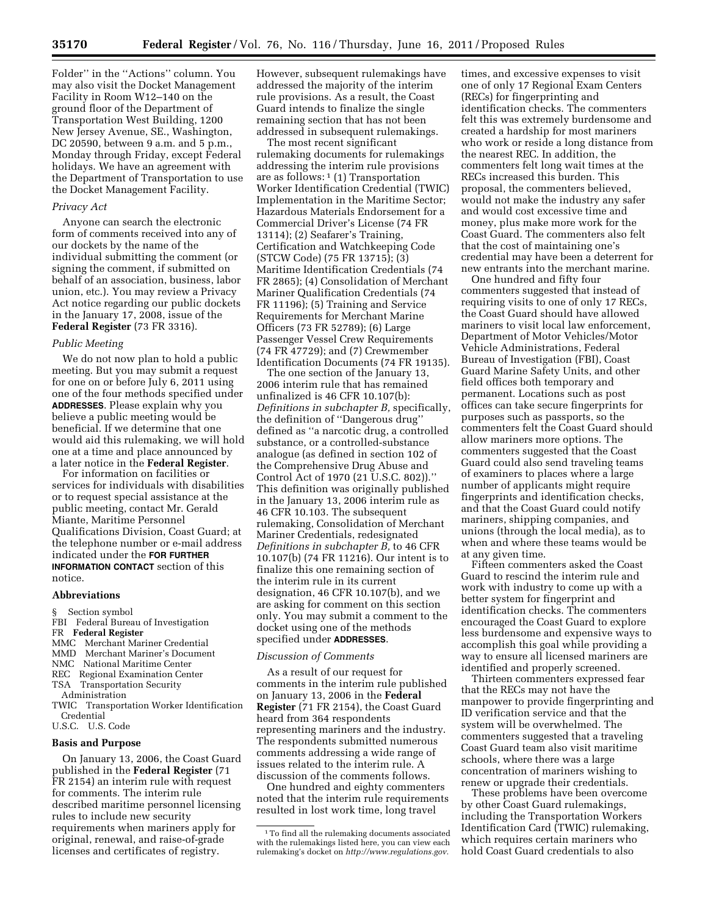Folder'' in the ''Actions'' column. You may also visit the Docket Management Facility in Room W12–140 on the ground floor of the Department of Transportation West Building, 1200 New Jersey Avenue, SE., Washington, DC 20590, between 9 a.m. and 5 p.m., Monday through Friday, except Federal holidays. We have an agreement with the Department of Transportation to use the Docket Management Facility.

### *Privacy Act*

Anyone can search the electronic form of comments received into any of our dockets by the name of the individual submitting the comment (or signing the comment, if submitted on behalf of an association, business, labor union, etc.). You may review a Privacy Act notice regarding our public dockets in the January 17, 2008, issue of the **Federal Register** (73 FR 3316).

#### *Public Meeting*

We do not now plan to hold a public meeting. But you may submit a request for one on or before July 6, 2011 using one of the four methods specified under **ADDRESSES**. Please explain why you believe a public meeting would be beneficial. If we determine that one would aid this rulemaking, we will hold one at a time and place announced by a later notice in the **Federal Register**.

For information on facilities or services for individuals with disabilities or to request special assistance at the public meeting, contact Mr. Gerald Miante, Maritime Personnel Qualifications Division, Coast Guard; at the telephone number or e-mail address indicated under the **FOR FURTHER INFORMATION CONTACT** section of this notice.

#### **Abbreviations**

- § Section symbol
- FBI Federal Bureau of Investigation
- FR **Federal Register**
- MMC Merchant Mariner Credential
- Merchant Mariner's Document
- NMC National Maritime Center
- REC Regional Examination Center
- TSA Transportation Security
- Administration
- TWIC Transportation Worker Identification Credential
- U.S.C. U.S. Code

### **Basis and Purpose**

On January 13, 2006, the Coast Guard published in the **Federal Register** (71 FR 2154) an interim rule with request for comments. The interim rule described maritime personnel licensing rules to include new security requirements when mariners apply for original, renewal, and raise-of-grade licenses and certificates of registry.

However, subsequent rulemakings have addressed the majority of the interim rule provisions. As a result, the Coast Guard intends to finalize the single remaining section that has not been addressed in subsequent rulemakings.

The most recent significant rulemaking documents for rulemakings addressing the interim rule provisions are as follows: 1 (1) Transportation Worker Identification Credential (TWIC) Implementation in the Maritime Sector; Hazardous Materials Endorsement for a Commercial Driver's License (74 FR 13114); (2) Seafarer's Training, Certification and Watchkeeping Code (STCW Code) (75 FR 13715); (3) Maritime Identification Credentials (74 FR 2865); (4) Consolidation of Merchant Mariner Qualification Credentials (74 FR 11196); (5) Training and Service Requirements for Merchant Marine Officers (73 FR 52789); (6) Large Passenger Vessel Crew Requirements (74 FR 47729); and (7) Crewmember Identification Documents (74 FR 19135).

The one section of the January 13, 2006 interim rule that has remained unfinalized is 46 CFR 10.107(b): *Definitions in subchapter B,* specifically, the definition of ''Dangerous drug'' defined as ''a narcotic drug, a controlled substance, or a controlled-substance analogue (as defined in section 102 of the Comprehensive Drug Abuse and Control Act of 1970 (21 U.S.C. 802)).'' This definition was originally published in the January 13, 2006 interim rule as 46 CFR 10.103. The subsequent rulemaking, Consolidation of Merchant Mariner Credentials, redesignated *Definitions in subchapter B,* to 46 CFR 10.107(b) (74 FR 11216). Our intent is to finalize this one remaining section of the interim rule in its current designation, 46 CFR 10.107(b), and we are asking for comment on this section only. You may submit a comment to the docket using one of the methods specified under **ADDRESSES**.

#### *Discussion of Comments*

As a result of our request for comments in the interim rule published on January 13, 2006 in the **Federal Register** (71 FR 2154), the Coast Guard heard from 364 respondents representing mariners and the industry. The respondents submitted numerous comments addressing a wide range of issues related to the interim rule. A discussion of the comments follows.

One hundred and eighty commenters noted that the interim rule requirements resulted in lost work time, long travel

times, and excessive expenses to visit one of only 17 Regional Exam Centers (RECs) for fingerprinting and identification checks. The commenters felt this was extremely burdensome and created a hardship for most mariners who work or reside a long distance from the nearest REC. In addition, the commenters felt long wait times at the RECs increased this burden. This proposal, the commenters believed, would not make the industry any safer and would cost excessive time and money, plus make more work for the Coast Guard. The commenters also felt that the cost of maintaining one's credential may have been a deterrent for new entrants into the merchant marine.

One hundred and fifty four commenters suggested that instead of requiring visits to one of only 17 RECs, the Coast Guard should have allowed mariners to visit local law enforcement, Department of Motor Vehicles/Motor Vehicle Administrations, Federal Bureau of Investigation (FBI), Coast Guard Marine Safety Units, and other field offices both temporary and permanent. Locations such as post offices can take secure fingerprints for purposes such as passports, so the commenters felt the Coast Guard should allow mariners more options. The commenters suggested that the Coast Guard could also send traveling teams of examiners to places where a large number of applicants might require fingerprints and identification checks, and that the Coast Guard could notify mariners, shipping companies, and unions (through the local media), as to when and where these teams would be at any given time.

Fifteen commenters asked the Coast Guard to rescind the interim rule and work with industry to come up with a better system for fingerprint and identification checks. The commenters encouraged the Coast Guard to explore less burdensome and expensive ways to accomplish this goal while providing a way to ensure all licensed mariners are identified and properly screened.

Thirteen commenters expressed fear that the RECs may not have the manpower to provide fingerprinting and ID verification service and that the system will be overwhelmed. The commenters suggested that a traveling Coast Guard team also visit maritime schools, where there was a large concentration of mariners wishing to renew or upgrade their credentials.

These problems have been overcome by other Coast Guard rulemakings, including the Transportation Workers Identification Card (TWIC) rulemaking, which requires certain mariners who hold Coast Guard credentials to also

<sup>1</sup>To find all the rulemaking documents associated with the rulemakings listed here, you can view each rulemaking's docket on *[http://www.regulations.gov.](http://www.regulations.gov)*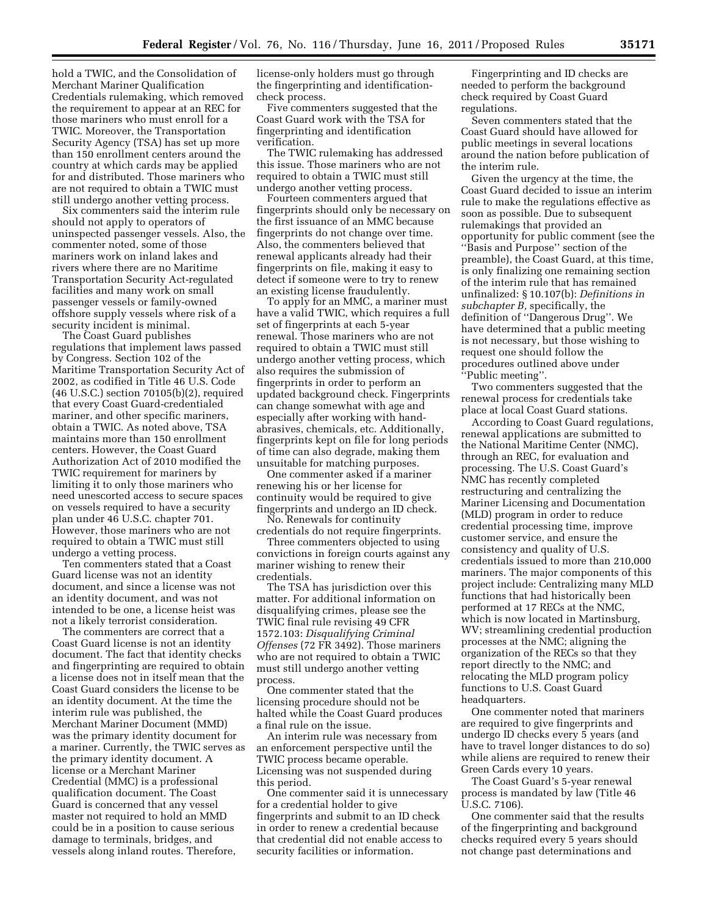hold a TWIC, and the Consolidation of Merchant Mariner Qualification Credentials rulemaking, which removed the requirement to appear at an REC for those mariners who must enroll for a TWIC. Moreover, the Transportation Security Agency (TSA) has set up more than 150 enrollment centers around the country at which cards may be applied for and distributed. Those mariners who are not required to obtain a TWIC must still undergo another vetting process.

Six commenters said the interim rule should not apply to operators of uninspected passenger vessels. Also, the commenter noted, some of those mariners work on inland lakes and rivers where there are no Maritime Transportation Security Act-regulated facilities and many work on small passenger vessels or family-owned offshore supply vessels where risk of a security incident is minimal.

The Coast Guard publishes regulations that implement laws passed by Congress. Section 102 of the Maritime Transportation Security Act of 2002, as codified in Title 46 U.S. Code (46 U.S.C.) section 70105(b)(2), required that every Coast Guard-credentialed mariner, and other specific mariners, obtain a TWIC. As noted above, TSA maintains more than 150 enrollment centers. However, the Coast Guard Authorization Act of 2010 modified the TWIC requirement for mariners by limiting it to only those mariners who need unescorted access to secure spaces on vessels required to have a security plan under 46 U.S.C. chapter 701. However, those mariners who are not required to obtain a TWIC must still undergo a vetting process.

Ten commenters stated that a Coast Guard license was not an identity document, and since a license was not an identity document, and was not intended to be one, a license heist was not a likely terrorist consideration.

The commenters are correct that a Coast Guard license is not an identity document. The fact that identity checks and fingerprinting are required to obtain a license does not in itself mean that the Coast Guard considers the license to be an identity document. At the time the interim rule was published, the Merchant Mariner Document (MMD) was the primary identity document for a mariner. Currently, the TWIC serves as the primary identity document. A license or a Merchant Mariner Credential (MMC) is a professional qualification document. The Coast Guard is concerned that any vessel master not required to hold an MMD could be in a position to cause serious damage to terminals, bridges, and vessels along inland routes. Therefore,

license-only holders must go through the fingerprinting and identificationcheck process.

Five commenters suggested that the Coast Guard work with the TSA for fingerprinting and identification verification.

The TWIC rulemaking has addressed this issue. Those mariners who are not required to obtain a TWIC must still undergo another vetting process.

Fourteen commenters argued that fingerprints should only be necessary on the first issuance of an MMC because fingerprints do not change over time. Also, the commenters believed that renewal applicants already had their fingerprints on file, making it easy to detect if someone were to try to renew an existing license fraudulently.

To apply for an MMC, a mariner must have a valid TWIC, which requires a full set of fingerprints at each 5-year renewal. Those mariners who are not required to obtain a TWIC must still undergo another vetting process, which also requires the submission of fingerprints in order to perform an updated background check. Fingerprints can change somewhat with age and especially after working with handabrasives, chemicals, etc. Additionally, fingerprints kept on file for long periods of time can also degrade, making them unsuitable for matching purposes.

One commenter asked if a mariner renewing his or her license for continuity would be required to give fingerprints and undergo an ID check.

No. Renewals for continuity credentials do not require fingerprints.

Three commenters objected to using convictions in foreign courts against any mariner wishing to renew their credentials.

The TSA has jurisdiction over this matter. For additional information on disqualifying crimes, please see the TWIC final rule revising 49 CFR 1572.103: *Disqualifying Criminal Offenses* (72 FR 3492). Those mariners who are not required to obtain a TWIC must still undergo another vetting process.

One commenter stated that the licensing procedure should not be halted while the Coast Guard produces a final rule on the issue.

An interim rule was necessary from an enforcement perspective until the TWIC process became operable. Licensing was not suspended during this period.

One commenter said it is unnecessary for a credential holder to give fingerprints and submit to an ID check in order to renew a credential because that credential did not enable access to security facilities or information.

Fingerprinting and ID checks are needed to perform the background check required by Coast Guard regulations.

Seven commenters stated that the Coast Guard should have allowed for public meetings in several locations around the nation before publication of the interim rule.

Given the urgency at the time, the Coast Guard decided to issue an interim rule to make the regulations effective as soon as possible. Due to subsequent rulemakings that provided an opportunity for public comment (see the ''Basis and Purpose'' section of the preamble), the Coast Guard, at this time, is only finalizing one remaining section of the interim rule that has remained unfinalized: § 10.107(b): *Definitions in subchapter B,* specifically, the definition of ''Dangerous Drug''. We have determined that a public meeting is not necessary, but those wishing to request one should follow the procedures outlined above under ''Public meeting''.

Two commenters suggested that the renewal process for credentials take place at local Coast Guard stations.

According to Coast Guard regulations, renewal applications are submitted to the National Maritime Center (NMC), through an REC, for evaluation and processing. The U.S. Coast Guard's NMC has recently completed restructuring and centralizing the Mariner Licensing and Documentation (MLD) program in order to reduce credential processing time, improve customer service, and ensure the consistency and quality of U.S. credentials issued to more than 210,000 mariners. The major components of this project include: Centralizing many MLD functions that had historically been performed at 17 RECs at the NMC, which is now located in Martinsburg, WV; streamlining credential production processes at the NMC; aligning the organization of the RECs so that they report directly to the NMC; and relocating the MLD program policy functions to U.S. Coast Guard headquarters.

One commenter noted that mariners are required to give fingerprints and undergo ID checks every 5 years (and have to travel longer distances to do so) while aliens are required to renew their Green Cards every 10 years.

The Coast Guard's 5-year renewal process is mandated by law (Title 46 U.S.C. 7106).

One commenter said that the results of the fingerprinting and background checks required every 5 years should not change past determinations and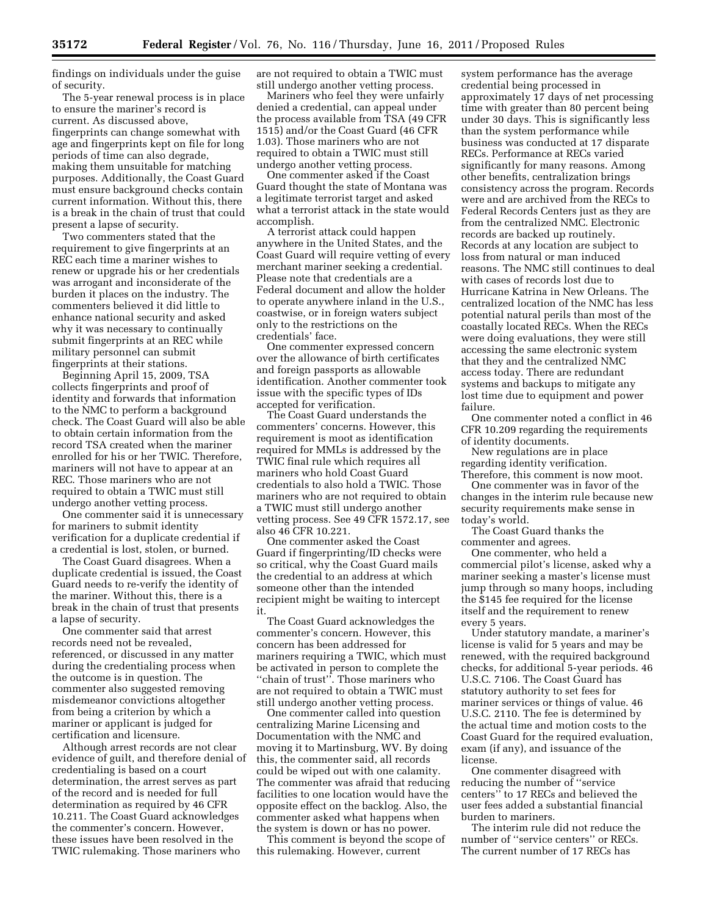findings on individuals under the guise of security.

The 5-year renewal process is in place to ensure the mariner's record is current. As discussed above, fingerprints can change somewhat with age and fingerprints kept on file for long periods of time can also degrade, making them unsuitable for matching purposes. Additionally, the Coast Guard must ensure background checks contain current information. Without this, there is a break in the chain of trust that could present a lapse of security.

Two commenters stated that the requirement to give fingerprints at an REC each time a mariner wishes to renew or upgrade his or her credentials was arrogant and inconsiderate of the burden it places on the industry. The commenters believed it did little to enhance national security and asked why it was necessary to continually submit fingerprints at an REC while military personnel can submit fingerprints at their stations.

Beginning April 15, 2009, TSA collects fingerprints and proof of identity and forwards that information to the NMC to perform a background check. The Coast Guard will also be able to obtain certain information from the record TSA created when the mariner enrolled for his or her TWIC. Therefore, mariners will not have to appear at an REC. Those mariners who are not required to obtain a TWIC must still undergo another vetting process.

One commenter said it is unnecessary for mariners to submit identity verification for a duplicate credential if a credential is lost, stolen, or burned.

The Coast Guard disagrees. When a duplicate credential is issued, the Coast Guard needs to re-verify the identity of the mariner. Without this, there is a break in the chain of trust that presents a lapse of security.

One commenter said that arrest records need not be revealed, referenced, or discussed in any matter during the credentialing process when the outcome is in question. The commenter also suggested removing misdemeanor convictions altogether from being a criterion by which a mariner or applicant is judged for certification and licensure.

Although arrest records are not clear evidence of guilt, and therefore denial of credentialing is based on a court determination, the arrest serves as part of the record and is needed for full determination as required by 46 CFR 10.211. The Coast Guard acknowledges the commenter's concern. However, these issues have been resolved in the TWIC rulemaking. Those mariners who

are not required to obtain a TWIC must still undergo another vetting process.

Mariners who feel they were unfairly denied a credential, can appeal under the process available from TSA (49 CFR 1515) and/or the Coast Guard (46 CFR 1.03). Those mariners who are not required to obtain a TWIC must still undergo another vetting process.

One commenter asked if the Coast Guard thought the state of Montana was a legitimate terrorist target and asked what a terrorist attack in the state would accomplish.

A terrorist attack could happen anywhere in the United States, and the Coast Guard will require vetting of every merchant mariner seeking a credential. Please note that credentials are a Federal document and allow the holder to operate anywhere inland in the U.S., coastwise, or in foreign waters subject only to the restrictions on the credentials' face.

One commenter expressed concern over the allowance of birth certificates and foreign passports as allowable identification. Another commenter took issue with the specific types of IDs accepted for verification.

The Coast Guard understands the commenters' concerns. However, this requirement is moot as identification required for MMLs is addressed by the TWIC final rule which requires all mariners who hold Coast Guard credentials to also hold a TWIC. Those mariners who are not required to obtain a TWIC must still undergo another vetting process. See 49 CFR 1572.17, see also 46 CFR 10.221.

One commenter asked the Coast Guard if fingerprinting/ID checks were so critical, why the Coast Guard mails the credential to an address at which someone other than the intended recipient might be waiting to intercept it.

The Coast Guard acknowledges the commenter's concern. However, this concern has been addressed for mariners requiring a TWIC, which must be activated in person to complete the "chain of trust". Those mariners who are not required to obtain a TWIC must still undergo another vetting process.

One commenter called into question centralizing Marine Licensing and Documentation with the NMC and moving it to Martinsburg, WV. By doing this, the commenter said, all records could be wiped out with one calamity. The commenter was afraid that reducing facilities to one location would have the opposite effect on the backlog. Also, the commenter asked what happens when the system is down or has no power.

This comment is beyond the scope of this rulemaking. However, current

system performance has the average credential being processed in approximately 17 days of net processing time with greater than 80 percent being under 30 days. This is significantly less than the system performance while business was conducted at 17 disparate RECs. Performance at RECs varied significantly for many reasons. Among other benefits, centralization brings consistency across the program. Records were and are archived from the RECs to Federal Records Centers just as they are from the centralized NMC. Electronic records are backed up routinely. Records at any location are subject to loss from natural or man induced reasons. The NMC still continues to deal with cases of records lost due to Hurricane Katrina in New Orleans. The centralized location of the NMC has less potential natural perils than most of the coastally located RECs. When the RECs were doing evaluations, they were still accessing the same electronic system that they and the centralized NMC access today. There are redundant systems and backups to mitigate any lost time due to equipment and power failure.

One commenter noted a conflict in 46 CFR 10.209 regarding the requirements of identity documents.

New regulations are in place regarding identity verification. Therefore, this comment is now moot.

One commenter was in favor of the changes in the interim rule because new security requirements make sense in today's world.

The Coast Guard thanks the commenter and agrees.

One commenter, who held a commercial pilot's license, asked why a mariner seeking a master's license must jump through so many hoops, including the \$145 fee required for the license itself and the requirement to renew every 5 years.

Under statutory mandate, a mariner's license is valid for 5 years and may be renewed, with the required background checks, for additional 5-year periods. 46 U.S.C. 7106. The Coast Guard has statutory authority to set fees for mariner services or things of value. 46 U.S.C. 2110. The fee is determined by the actual time and motion costs to the Coast Guard for the required evaluation, exam (if any), and issuance of the license.

One commenter disagreed with reducing the number of ''service centers'' to 17 RECs and believed the user fees added a substantial financial burden to mariners.

The interim rule did not reduce the number of ''service centers'' or RECs. The current number of 17 RECs has